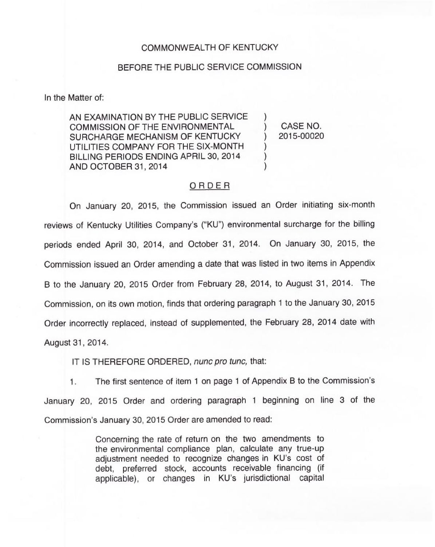## COMMONWEALTH OF KENTUCKY

## BEFORE THE PUBLIC SERVICE COMMISSION

In the Matter of:

AN EXAMINATION BY THE PUBLIC SERVICE COMMISSION OF THE ENVIRONMENTAL SURCHARGE MECHANISM OF KENTUCKY UTILITIES COMPANY FOR THE SIX-MONTH BILLING PERIODS ENDING APRIL 30, 2014 AND OCTOBER 31, 2014

) CASE NO. ) 2015-00020

)

) ) )

## ORDER

On January 20, 2015, the Commission issued an Order initiating six-month reviews of Kentucky Utilities Company's ("KU") environmental surcharge for the billing periods ended April 30, 2014, and October 31, 2014. On January 30, 2015, the Commission issued an Order amending a date that was listed in two items in Appendix B to the January 20, 2015 Order from February 28, 2014, to August 31, 2014. The Commission, on its own motion, finds that ordering paragraph <sup>1</sup> to the January 30, 2015 Order incorrectly replaced, instead of supplemented, the February 28, 2014 date with August 31, 2014.

IT IS THEREFORE ORDERED, nunc pro tunc, that:

1. The first sentence of item <sup>1</sup> on page <sup>1</sup> of Appendix B to the Commission's January 20, 2015 Order and ordering paragraph <sup>1</sup> beginning on line 3 of the Commission's January 30, 2015 Order are amended to read:

> Concerning the rate of return on the two amendments to the environmental compliance plan, calculate any true-up adjustment needed to recognize changes in KU's cost of debt, preferred stock, accounts receivable financing (if applicable), or changes in KU's jurisdictional capital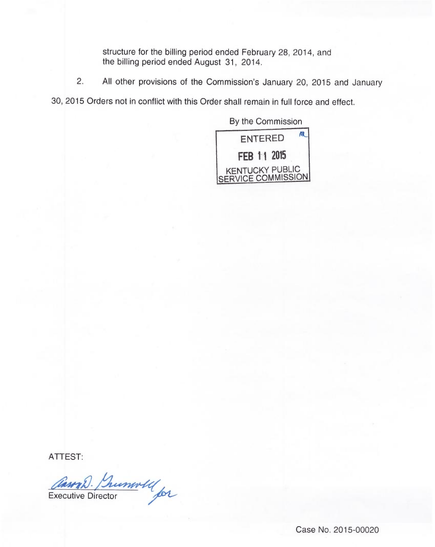structure for the billing period ended February 28, 2014, and the billing period ended August 31, 2014.

2. All other provisions of the Commission's January 20, 2015 and January

30, 2015 Orders not in conflict with this Order shall remain in full force and effect.



ATTEST:

Cauna D. Lumwell

Case No. 2015-00020